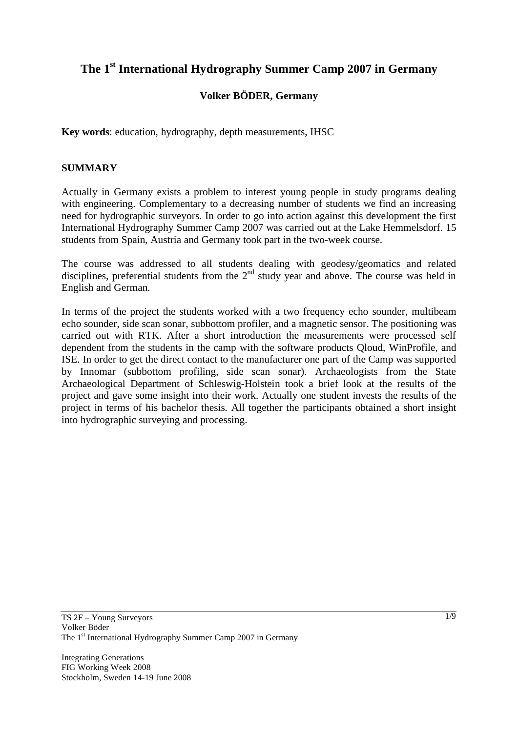# **The 1st International Hydrography Summer Camp 2007 in Germany**

# **Volker BÖDER, Germany**

**Key words**: education, hydrography, depth measurements, IHSC

### **SUMMARY**

Actually in Germany exists a problem to interest young people in study programs dealing with engineering. Complementary to a decreasing number of students we find an increasing need for hydrographic surveyors. In order to go into action against this development the first International Hydrography Summer Camp 2007 was carried out at the Lake Hemmelsdorf. 15 students from Spain, Austria and Germany took part in the two-week course.

The course was addressed to all students dealing with geodesy/geomatics and related disciplines, preferential students from the  $2<sup>nd</sup>$  study year and above. The course was held in English and German.

In terms of the project the students worked with a two frequency echo sounder, multibeam echo sounder, side scan sonar, subbottom profiler, and a magnetic sensor. The positioning was carried out with RTK. After a short introduction the measurements were processed self dependent from the students in the camp with the software products Qloud, WinProfile, and ISE. In order to get the direct contact to the manufacturer one part of the Camp was supported by Innomar (subbottom profiling, side scan sonar). Archaeologists from the State Archaeological Department of Schleswig-Holstein took a brief look at the results of the project and gave some insight into their work. Actually one student invests the results of the project in terms of his bachelor thesis. All together the participants obtained a short insight into hydrographic surveying and processing.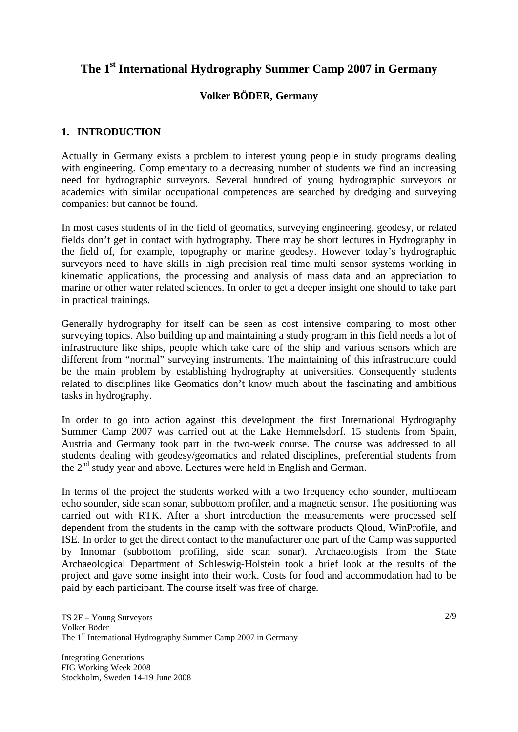# **The 1st International Hydrography Summer Camp 2007 in Germany**

# **Volker BÖDER, Germany**

## **1. INTRODUCTION**

Actually in Germany exists a problem to interest young people in study programs dealing with engineering. Complementary to a decreasing number of students we find an increasing need for hydrographic surveyors. Several hundred of young hydrographic surveyors or academics with similar occupational competences are searched by dredging and surveying companies: but cannot be found.

In most cases students of in the field of geomatics, surveying engineering, geodesy, or related fields don't get in contact with hydrography. There may be short lectures in Hydrography in the field of, for example, topography or marine geodesy. However today's hydrographic surveyors need to have skills in high precision real time multi sensor systems working in kinematic applications, the processing and analysis of mass data and an appreciation to marine or other water related sciences. In order to get a deeper insight one should to take part in practical trainings.

Generally hydrography for itself can be seen as cost intensive comparing to most other surveying topics. Also building up and maintaining a study program in this field needs a lot of infrastructure like ships, people which take care of the ship and various sensors which are different from "normal" surveying instruments. The maintaining of this infrastructure could be the main problem by establishing hydrography at universities. Consequently students related to disciplines like Geomatics don't know much about the fascinating and ambitious tasks in hydrography.

In order to go into action against this development the first International Hydrography Summer Camp 2007 was carried out at the Lake Hemmelsdorf. 15 students from Spain, Austria and Germany took part in the two-week course. The course was addressed to all students dealing with geodesy/geomatics and related disciplines, preferential students from the  $2<sup>nd</sup>$  study year and above. Lectures were held in English and German.

In terms of the project the students worked with a two frequency echo sounder, multibeam echo sounder, side scan sonar, subbottom profiler, and a magnetic sensor. The positioning was carried out with RTK. After a short introduction the measurements were processed self dependent from the students in the camp with the software products Qloud, WinProfile, and ISE. In order to get the direct contact to the manufacturer one part of the Camp was supported by Innomar (subbottom profiling, side scan sonar). Archaeologists from the State Archaeological Department of Schleswig-Holstein took a brief look at the results of the project and gave some insight into their work. Costs for food and accommodation had to be paid by each participant. The course itself was free of charge.

TS 2F – Young Surveyors Volker Böder The 1<sup>st</sup> International Hydrography Summer Camp 2007 in Germany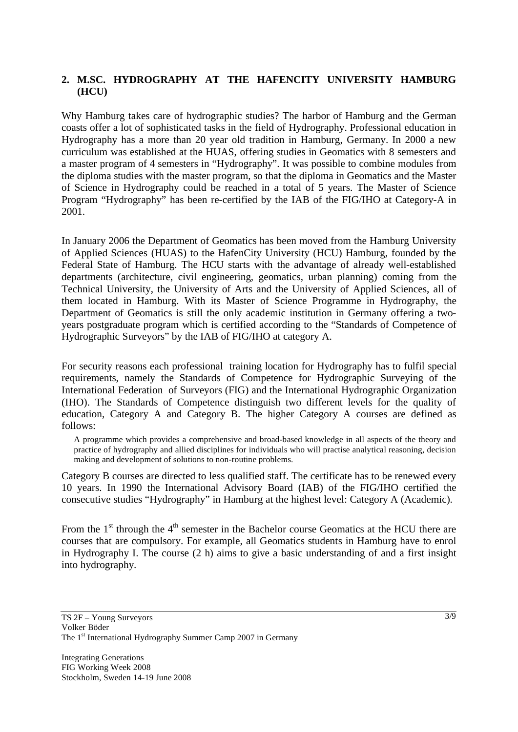## **2. M.SC. HYDROGRAPHY AT THE HAFENCITY UNIVERSITY HAMBURG (HCU)**

Why Hamburg takes care of hydrographic studies? The harbor of Hamburg and the German coasts offer a lot of sophisticated tasks in the field of Hydrography. Professional education in Hydrography has a more than 20 year old tradition in Hamburg, Germany. In 2000 a new curriculum was established at the HUAS, offering studies in Geomatics with 8 semesters and a master program of 4 semesters in "Hydrography". It was possible to combine modules from the diploma studies with the master program, so that the diploma in Geomatics and the Master of Science in Hydrography could be reached in a total of 5 years. The Master of Science Program "Hydrography" has been re-certified by the IAB of the FIG/IHO at Category-A in 2001.

In January 2006 the Department of Geomatics has been moved from the Hamburg University of Applied Sciences (HUAS) to the HafenCity University (HCU) Hamburg, founded by the Federal State of Hamburg. The HCU starts with the advantage of already well-established departments (architecture, civil engineering, geomatics, urban planning) coming from the Technical University, the University of Arts and the University of Applied Sciences, all of them located in Hamburg. With its Master of Science Programme in Hydrography, the Department of Geomatics is still the only academic institution in Germany offering a twoyears postgraduate program which is certified according to the "Standards of Competence of Hydrographic Surveyors" by the IAB of FIG/IHO at category A.

For security reasons each professional training location for Hydrography has to fulfil special requirements, namely the Standards of Competence for Hydrographic Surveying of the International Federation of Surveyors (FIG) and the International Hydrographic Organization (IHO). The Standards of Competence distinguish two different levels for the quality of education, Category A and Category B. The higher Category A courses are defined as follows:

A programme which provides a comprehensive and broad-based knowledge in all aspects of the theory and practice of hydrography and allied disciplines for individuals who will practise analytical reasoning, decision making and development of solutions to non-routine problems.

Category B courses are directed to less qualified staff. The certificate has to be renewed every 10 years. In 1990 the International Advisory Board (IAB) of the FIG/IHO certified the consecutive studies "Hydrography" in Hamburg at the highest level: Category A (Academic).

From the  $1<sup>st</sup>$  through the  $4<sup>th</sup>$  semester in the Bachelor course Geomatics at the HCU there are courses that are compulsory. For example, all Geomatics students in Hamburg have to enrol in Hydrography I. The course (2 h) aims to give a basic understanding of and a first insight into hydrography.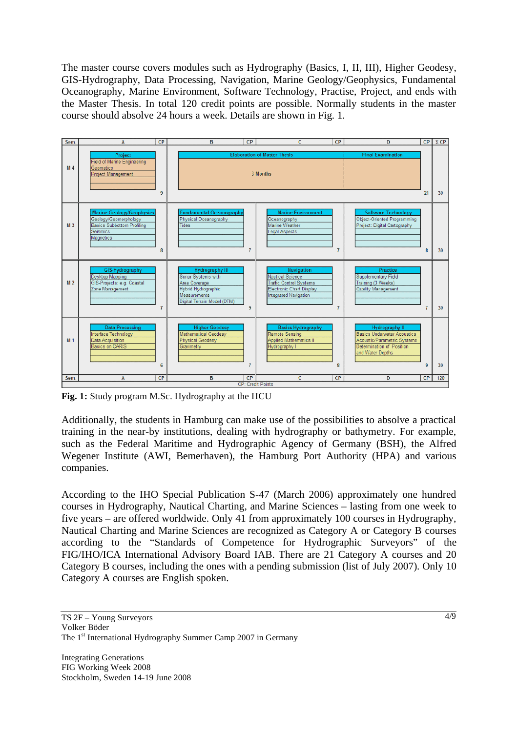The master course covers modules such as Hydrography (Basics, I, II, III), Higher Geodesy, GIS-Hydrography, Data Processing, Navigation, Marine Geology/Geophysics, Fundamental Oceanography, Marine Environment, Software Technology, Practise, Project, and ends with the Master Thesis. In total 120 credit points are possible. Normally students in the master course should absolve 24 hours a week. Details are shown in Fig. 1.



**Fig. 1:** Study program M.Sc. Hydrography at the HCU

Additionally, the students in Hamburg can make use of the possibilities to absolve a practical training in the near-by institutions, dealing with hydrography or bathymetry. For example, such as the Federal Maritime and Hydrographic Agency of Germany (BSH), the Alfred Wegener Institute (AWI, Bemerhaven), the Hamburg Port Authority (HPA) and various companies.

According to the IHO Special Publication S-47 (March 2006) approximately one hundred courses in Hydrography, Nautical Charting, and Marine Sciences – lasting from one week to five years – are offered worldwide. Only 41 from approximately 100 courses in Hydrography, Nautical Charting and Marine Sciences are recognized as Category A or Category B courses according to the "Standards of Competence for Hydrographic Surveyors" of the FIG/IHO/ICA International Advisory Board IAB. There are 21 Category A courses and 20 Category B courses, including the ones with a pending submission (list of July 2007). Only 10 Category A courses are English spoken.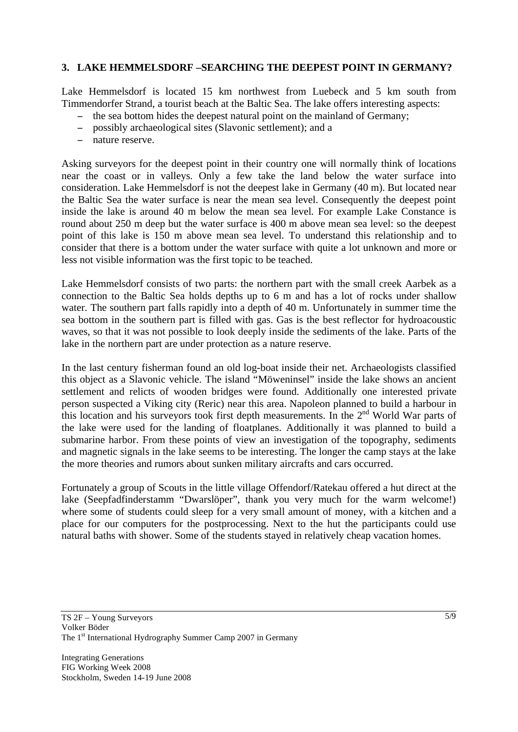### **3. LAKE HEMMELSDORF –SEARCHING THE DEEPEST POINT IN GERMANY?**

Lake Hemmelsdorf is located 15 km northwest from Luebeck and 5 km south from Timmendorfer Strand, a tourist beach at the Baltic Sea. The lake offers interesting aspects:

- the sea bottom hides the deepest natural point on the mainland of Germany;
- possibly archaeological sites (Slavonic settlement); and a
- nature reserve.

Asking surveyors for the deepest point in their country one will normally think of locations near the coast or in valleys. Only a few take the land below the water surface into consideration. Lake Hemmelsdorf is not the deepest lake in Germany (40 m). But located near the Baltic Sea the water surface is near the mean sea level. Consequently the deepest point inside the lake is around 40 m below the mean sea level. For example Lake Constance is round about 250 m deep but the water surface is 400 m above mean sea level: so the deepest point of this lake is 150 m above mean sea level. To understand this relationship and to consider that there is a bottom under the water surface with quite a lot unknown and more or less not visible information was the first topic to be teached.

Lake Hemmelsdorf consists of two parts: the northern part with the small creek Aarbek as a connection to the Baltic Sea holds depths up to 6 m and has a lot of rocks under shallow water. The southern part falls rapidly into a depth of 40 m. Unfortunately in summer time the sea bottom in the southern part is filled with gas. Gas is the best reflector for hydroacoustic waves, so that it was not possible to look deeply inside the sediments of the lake. Parts of the lake in the northern part are under protection as a nature reserve.

In the last century fisherman found an old log-boat inside their net. Archaeologists classified this object as a Slavonic vehicle. The island "Möweninsel" inside the lake shows an ancient settlement and relicts of wooden bridges were found. Additionally one interested private person suspected a Viking city (Reric) near this area. Napoleon planned to build a harbour in this location and his surveyors took first depth measurements. In the  $2<sup>nd</sup>$  World War parts of the lake were used for the landing of floatplanes. Additionally it was planned to build a submarine harbor. From these points of view an investigation of the topography, sediments and magnetic signals in the lake seems to be interesting. The longer the camp stays at the lake the more theories and rumors about sunken military aircrafts and cars occurred.

Fortunately a group of Scouts in the little village Offendorf/Ratekau offered a hut direct at the lake (Seepfadfinderstamm "Dwarslöper", thank you very much for the warm welcome!) where some of students could sleep for a very small amount of money, with a kitchen and a place for our computers for the postprocessing. Next to the hut the participants could use natural baths with shower. Some of the students stayed in relatively cheap vacation homes.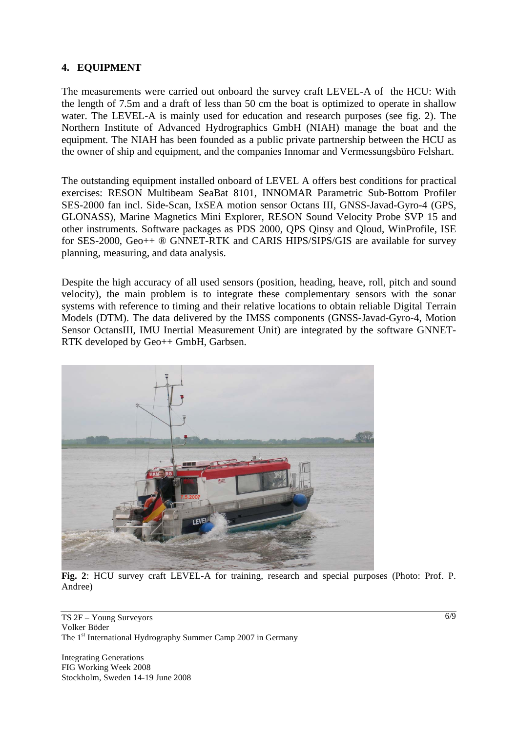#### **4. EQUIPMENT**

The measurements were carried out onboard the survey craft LEVEL-A of the HCU: With the length of 7.5m and a draft of less than 50 cm the boat is optimized to operate in shallow water. The LEVEL-A is mainly used for education and research purposes (see fig. 2). The Northern Institute of Advanced Hydrographics GmbH (NIAH) manage the boat and the equipment. The NIAH has been founded as a public private partnership between the HCU as the owner of ship and equipment, and the companies Innomar and Vermessungsbüro Felshart.

The outstanding equipment installed onboard of LEVEL A offers best conditions for practical exercises: RESON Multibeam SeaBat 8101, INNOMAR Parametric Sub-Bottom Profiler SES-2000 fan incl. Side-Scan, IxSEA motion sensor Octans III, GNSS-Javad-Gyro-4 (GPS, GLONASS), Marine Magnetics Mini Explorer, RESON Sound Velocity Probe SVP 15 and other instruments. Software packages as PDS 2000, QPS Qinsy and Qloud, WinProfile, ISE for SES-2000, Geo++ ® GNNET-RTK and CARIS HIPS/SIPS/GIS are available for survey planning, measuring, and data analysis.

Despite the high accuracy of all used sensors (position, heading, heave, roll, pitch and sound velocity), the main problem is to integrate these complementary sensors with the sonar systems with reference to timing and their relative locations to obtain reliable Digital Terrain Models (DTM). The data delivered by the IMSS components (GNSS-Javad-Gyro-4, Motion Sensor OctansIII, IMU Inertial Measurement Unit) are integrated by the software GNNET-RTK developed by Geo++ GmbH, Garbsen.



**Fig. 2**: HCU survey craft LEVEL-A for training, research and special purposes (Photo: Prof. P. Andree)

TS 2F – Young Surveyors Volker Böder The 1<sup>st</sup> International Hydrography Summer Camp 2007 in Germany

Integrating Generations FIG Working Week 2008 Stockholm, Sweden 14-19 June 2008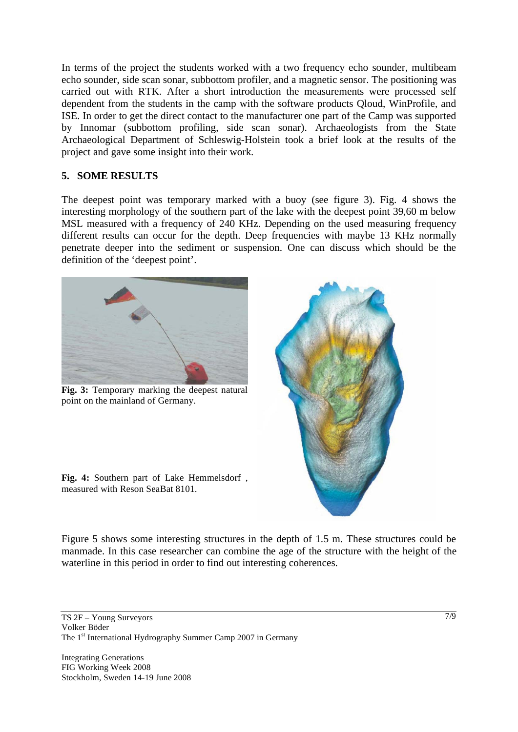In terms of the project the students worked with a two frequency echo sounder, multibeam echo sounder, side scan sonar, subbottom profiler, and a magnetic sensor. The positioning was carried out with RTK. After a short introduction the measurements were processed self dependent from the students in the camp with the software products Qloud, WinProfile, and ISE. In order to get the direct contact to the manufacturer one part of the Camp was supported by Innomar (subbottom profiling, side scan sonar). Archaeologists from the State Archaeological Department of Schleswig-Holstein took a brief look at the results of the project and gave some insight into their work.

#### **5. SOME RESULTS**

The deepest point was temporary marked with a buoy (see figure 3). Fig. 4 shows the interesting morphology of the southern part of the lake with the deepest point 39,60 m below MSL measured with a frequency of 240 KHz. Depending on the used measuring frequency different results can occur for the depth. Deep frequencies with maybe 13 KHz normally penetrate deeper into the sediment or suspension. One can discuss which should be the definition of the 'deepest point'.



**Fig. 3:** Temporary marking the deepest natural point on the mainland of Germany.



**Fig. 4:** Southern part of Lake Hemmelsdorf , measured with Reson SeaBat 8101.

Figure 5 shows some interesting structures in the depth of 1.5 m. These structures could be manmade. In this case researcher can combine the age of the structure with the height of the waterline in this period in order to find out interesting coherences.

TS 2F – Young Surveyors Volker Böder The 1<sup>st</sup> International Hydrography Summer Camp 2007 in Germany

Integrating Generations FIG Working Week 2008 Stockholm, Sweden 14-19 June 2008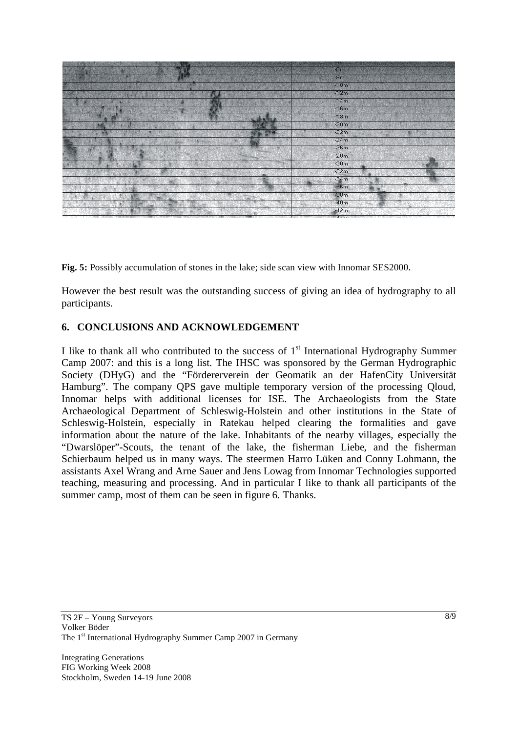

**Fig. 5:** Possibly accumulation of stones in the lake; side scan view with Innomar SES2000.

However the best result was the outstanding success of giving an idea of hydrography to all participants.

#### **6. CONCLUSIONS AND ACKNOWLEDGEMENT**

I like to thank all who contributed to the success of  $1<sup>st</sup>$  International Hydrography Summer Camp 2007: and this is a long list. The IHSC was sponsored by the German Hydrographic Society (DHyG) and the "Fördererverein der Geomatik an der HafenCity Universität Hamburg". The company QPS gave multiple temporary version of the processing Qloud, Innomar helps with additional licenses for ISE. The Archaeologists from the State Archaeological Department of Schleswig-Holstein and other institutions in the State of Schleswig-Holstein, especially in Ratekau helped clearing the formalities and gave information about the nature of the lake. Inhabitants of the nearby villages, especially the "Dwarslöper"-Scouts, the tenant of the lake, the fisherman Liebe, and the fisherman Schierbaum helped us in many ways. The steermen Harro Lüken and Conny Lohmann, the assistants Axel Wrang and Arne Sauer and Jens Lowag from Innomar Technologies supported teaching, measuring and processing. And in particular I like to thank all participants of the summer camp, most of them can be seen in figure 6. Thanks.